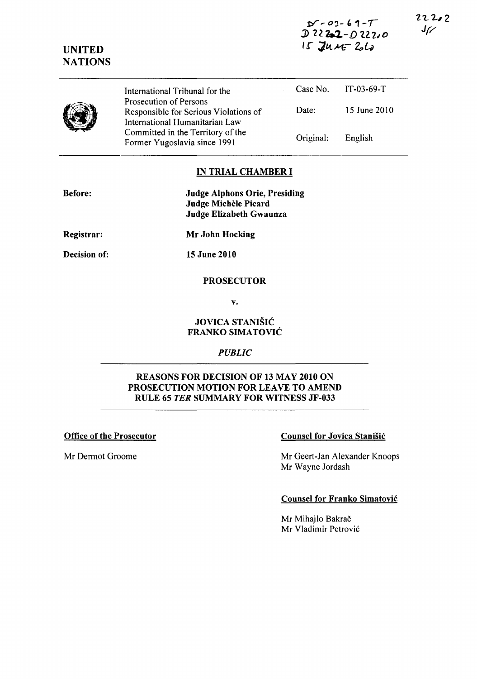$D - 03 - 69 - T$  $D222-02220$  $15$  Jun $-26$ 

 $22222$  $J_{\mathcal{K}}$ 

|  | International Tribunal for the                                                                    |           | Case No. $IT-03-69-T$ |
|--|---------------------------------------------------------------------------------------------------|-----------|-----------------------|
|  | Prosecution of Persons<br>Responsible for Serious Violations of<br>International Humanitarian Law | Date:     | 15 June 2010          |
|  | Committed in the Territory of the<br>Former Yugoslavia since 1991                                 | Original: | English               |

# IN TRIAL CHAMBER I

| <b>Before:</b> | <b>Judge Alphons Orie, Presiding</b> |  |
|----------------|--------------------------------------|--|
|                | Judge Michèle Picard                 |  |
|                | Judge Elizabeth Gwaunza              |  |
| Registrar:     | Mr John Hocking                      |  |
| Decision of:   | <b>15 June 2010</b>                  |  |
|                | <b>PROSECUTOR</b>                    |  |

v.

# JOVICA STANISIC FRANKO SIMATOVIC

### *PUBLIC*

### REASONS FOR DECISION OF 13 MAY 2010 ON PROSECUTION MOTION FOR LEAVE TO AMEND RULE 65 *TER* SUMMARY FOR WITNESS JF-033

UNITED NATIONS

# Office of the Prosecutor Counsel for Jovica Stanišić

Mr Dermot Groome Mr Geert-Jan Alexander Knoops Mr Wayne Jordash

### Counsel for Franko Simatovic

Mr Mihajlo Bakrač Mr Vladimir Petrovic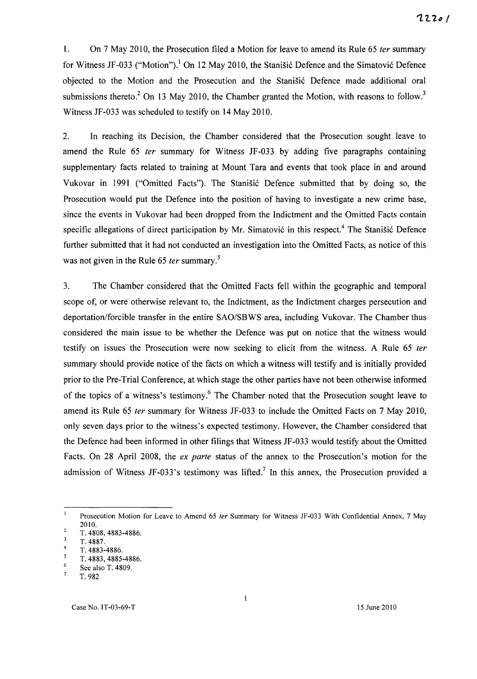1. On 7 May 2010, the Prosecution filed a Motion for leave to amend its Rule 65 ter summary for Witness JF-033 ("Motion").<sup>1</sup> On 12 May 2010, the Stanisic Defence and the Simatovic Defence objected to the Motion and the Prosecution and the Stanišić Defence made additional oral submissions thereto.<sup>2</sup> On 13 May 2010, the Chamber granted the Motion, with reasons to follow.<sup>3</sup> Witness JF-033 was scheduled to testify on 14 May 2010.

2. In reaching its Decision, the Chamber considered that the Prosecution sought leave to amend the Rule 65 fer summary for Witness JF-033 by adding five paragraphs containing supplementary facts related to training at Mount Tara and events that took place in and around Vukovar in 1991 ("Omitted Facts"). The Stanišić Defence submitted that by doing so, the Prosecution would put the Defence into the position of having to investigate a new crime base, since the events in Vukovar had been dropped from the Indictment and the Omitted Facts contain specific allegations of direct participation by Mr. Simatović in this respect.<sup>4</sup> The Stanišić Defence further submitted that it had not conducted an investigation into the Omitted Facts, as notice of this was not given in the Rule 65 *ter* summary.<sup>5</sup>

3. The Chamber considered that the Omitted Facts fell within the geographic and temporal scope of, or were otherwise relevant to, the Indictment, as the Indictment charges persecution and deportation/forcible transfer in the entire SAO/SBWS area, including Vukovar. The Chamber thus considered the main issue to be whether the Defence was put on notice that the witness would testify on issues the Prosecution were now seeking to elicit from the witness. A Rule 65 ter summary should provide notice of the facts on which a witness will testify and is initially provided prior to the Pre-Trial Conference, at which stage the other parties have not been otherwise informed of the topics of a witness's testimony.<sup>6</sup> The Chamber noted that the Prosecution sought leave to amend its Rule 65 fer summary for Witness JF-033 to include the Omitted Facts on 7 May 2010, only seven days prior to the witness's expected testimony. However, the Chamber considered that the Defence had been informed in other filings that Witness JF-033 would testify about the Omitted Facts. On 28 April 2008, the ex parte status of the annex to the Prosecution's motion for the admission of Witness JF-033's testimony was lifted.<sup>7</sup> In this annex, the Prosecution provided a

 $\bar{1}$ Prosecution Motion for Leave to Amend 65 ter Summary for Witness JF-033 With Confidential Annex, 7 May 2010.  $\mathbf 2$ 

T. 4808, 4883-4886.  $\overline{\mathbf{3}}$ 

T.4887.

T. 4883-4886.  $\mathsf{S}$ 

T. 4883, 4885-4886.  $\boldsymbol{6}$ 

See also T. 4809.

T.982